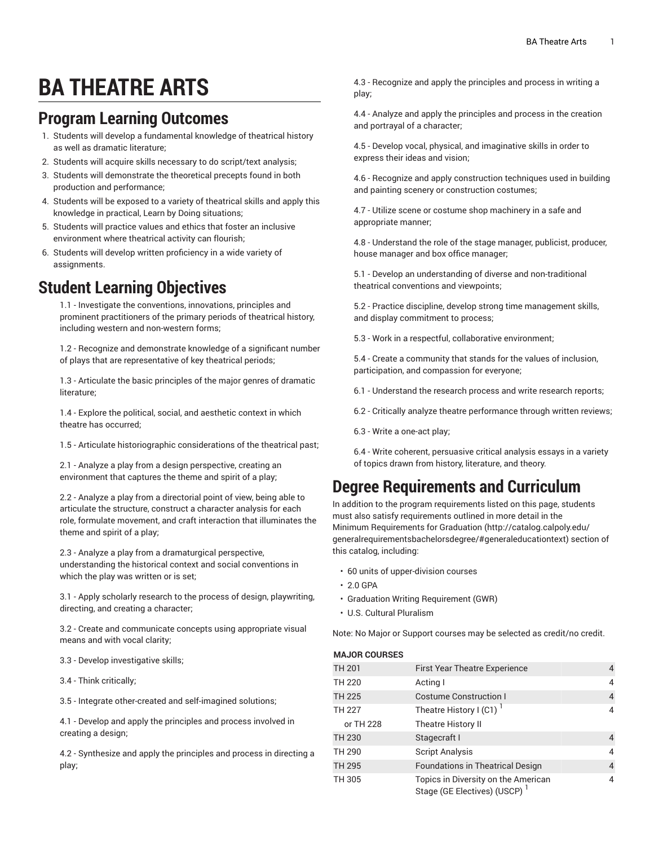# **BA THEATRE ARTS**

#### **Program Learning Outcomes**

- 1. Students will develop a fundamental knowledge of theatrical history as well as dramatic literature;
- 2. Students will acquire skills necessary to do script/text analysis;
- 3. Students will demonstrate the theoretical precepts found in both production and performance;
- 4. Students will be exposed to a variety of theatrical skills and apply this knowledge in practical, Learn by Doing situations;
- 5. Students will practice values and ethics that foster an inclusive environment where theatrical activity can flourish;
- 6. Students will develop written proficiency in a wide variety of assignments.

### **Student Learning Objectives**

1.1 - Investigate the conventions, innovations, principles and prominent practitioners of the primary periods of theatrical history, including western and non-western forms;

1.2 - Recognize and demonstrate knowledge of a significant number of plays that are representative of key theatrical periods;

1.3 - Articulate the basic principles of the major genres of dramatic literature;

1.4 - Explore the political, social, and aesthetic context in which theatre has occurred;

1.5 - Articulate historiographic considerations of the theatrical past;

2.1 - Analyze a play from a design perspective, creating an environment that captures the theme and spirit of a play;

2.2 - Analyze a play from a directorial point of view, being able to articulate the structure, construct a character analysis for each role, formulate movement, and craft interaction that illuminates the theme and spirit of a play;

2.3 - Analyze a play from a dramaturgical perspective, understanding the historical context and social conventions in which the play was written or is set;

3.1 - Apply scholarly research to the process of design, playwriting, directing, and creating a character;

3.2 - Create and communicate concepts using appropriate visual means and with vocal clarity;

3.3 - Develop investigative skills;

3.4 - Think critically;

3.5 - Integrate other-created and self-imagined solutions;

4.1 - Develop and apply the principles and process involved in creating a design;

4.2 - Synthesize and apply the principles and process in directing a play;

4.3 - Recognize and apply the principles and process in writing a play;

4.4 - Analyze and apply the principles and process in the creation and portrayal of a character;

4.5 - Develop vocal, physical, and imaginative skills in order to express their ideas and vision;

4.6 - Recognize and apply construction techniques used in building and painting scenery or construction costumes;

4.7 - Utilize scene or costume shop machinery in a safe and appropriate manner;

4.8 - Understand the role of the stage manager, publicist, producer, house manager and box office manager;

5.1 - Develop an understanding of diverse and non-traditional theatrical conventions and viewpoints;

5.2 - Practice discipline, develop strong time management skills, and display commitment to process;

5.3 - Work in a respectful, collaborative environment;

5.4 - Create a community that stands for the values of inclusion, participation, and compassion for everyone;

- 6.1 Understand the research process and write research reports;
- 6.2 Critically analyze theatre performance through written reviews;
- 6.3 Write a one-act play;

6.4 - Write coherent, persuasive critical analysis essays in a variety of topics drawn from history, literature, and theory.

## **Degree Requirements and Curriculum**

In addition to the program requirements listed on this page, students must also satisfy requirements outlined in more detail in the Minimum [Requirements](http://catalog.calpoly.edu/generalrequirementsbachelorsdegree/#generaleducationtext) for Graduation [\(http://catalog.calpoly.edu/](http://catalog.calpoly.edu/generalrequirementsbachelorsdegree/#generaleducationtext) [generalrequirementsbachelorsdegree/#generaleducationtext](http://catalog.calpoly.edu/generalrequirementsbachelorsdegree/#generaleducationtext)) section of this catalog, including:

- 60 units of upper-division courses
- 2.0 GPA
- Graduation Writing Requirement (GWR)
- U.S. Cultural Pluralism

Note: No Major or Support courses may be selected as credit/no credit.

#### **MAJOR COURSES**

| <b>TH 201</b> | <b>First Year Theatre Experience</b>                                            |   |
|---------------|---------------------------------------------------------------------------------|---|
| <b>TH 220</b> | Acting I                                                                        |   |
| <b>TH 225</b> | <b>Costume Construction I</b>                                                   | 4 |
| <b>TH 227</b> | Theatre History I (C1)                                                          |   |
| or TH 228     | Theatre History II                                                              |   |
| <b>TH 230</b> | Stagecraft I                                                                    | 4 |
| TH 290        | <b>Script Analysis</b>                                                          |   |
| <b>TH 295</b> | <b>Foundations in Theatrical Design</b>                                         | 4 |
| TH 305        | Topics in Diversity on the American<br>Stage (GE Electives) (USCP) <sup>1</sup> |   |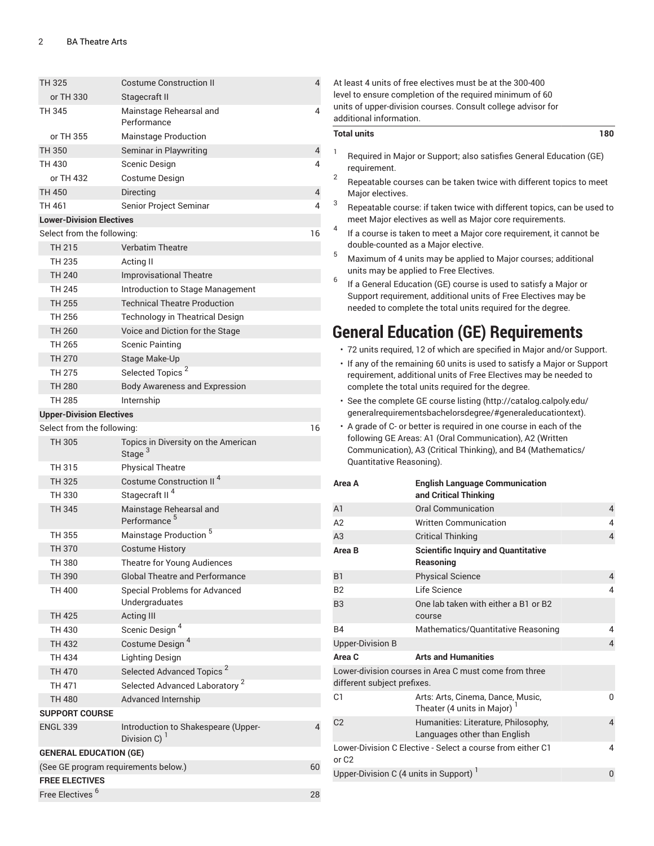| TH 325                                     | <b>Costume Construction II</b>                                  | $\overline{4}$ |  |  |
|--------------------------------------------|-----------------------------------------------------------------|----------------|--|--|
| or TH 330                                  | Stagecraft II                                                   |                |  |  |
| TH 345                                     | Mainstage Rehearsal and<br>Performance                          | 4              |  |  |
| or TH 355                                  | <b>Mainstage Production</b>                                     |                |  |  |
| TH 350                                     | Seminar in Playwriting                                          | 4              |  |  |
| TH 430                                     | Scenic Design                                                   | 4              |  |  |
| or TH 432                                  | Costume Design                                                  |                |  |  |
| <b>TH 450</b>                              | Directing                                                       | 4              |  |  |
| TH 461                                     | Senior Project Seminar                                          | 4              |  |  |
| <b>Lower-Division Electives</b>            |                                                                 |                |  |  |
| Select from the following:                 |                                                                 | 16             |  |  |
| <b>TH 215</b>                              | <b>Verbatim Theatre</b>                                         |                |  |  |
| TH 235                                     | Acting II                                                       |                |  |  |
| TH 240                                     | <b>Improvisational Theatre</b>                                  |                |  |  |
| <b>TH 245</b>                              | Introduction to Stage Management                                |                |  |  |
| TH 255                                     | <b>Technical Theatre Production</b>                             |                |  |  |
| TH 256                                     | Technology in Theatrical Design                                 |                |  |  |
| <b>TH 260</b>                              | Voice and Diction for the Stage                                 |                |  |  |
| <b>TH 265</b>                              | <b>Scenic Painting</b>                                          |                |  |  |
| TH 270                                     | Stage Make-Up                                                   |                |  |  |
| <b>TH 275</b>                              | Selected Topics <sup>2</sup>                                    |                |  |  |
| <b>TH 280</b>                              | <b>Body Awareness and Expression</b>                            |                |  |  |
| TH 285                                     | Internship                                                      |                |  |  |
| <b>Upper-Division Electives</b>            |                                                                 |                |  |  |
| Select from the following:                 |                                                                 | 16             |  |  |
| TH 305                                     | Topics in Diversity on the American<br>Stage <sup>3</sup>       |                |  |  |
| TH 315                                     | <b>Physical Theatre</b>                                         |                |  |  |
| TH 325                                     | Costume Construction II <sup>4</sup>                            |                |  |  |
| TH 330                                     | Stagecraft II <sup>4</sup>                                      |                |  |  |
| TH 345                                     | Mainstage Rehearsal and<br>Performance <sup>5</sup>             |                |  |  |
| TH 355                                     | Mainstage Production <sup>5</sup>                               |                |  |  |
| TH 370                                     | <b>Costume History</b>                                          |                |  |  |
| TH 380                                     | Theatre for Young Audiences                                     |                |  |  |
| TH 390                                     | <b>Global Theatre and Performance</b>                           |                |  |  |
| TH 400                                     | <b>Special Problems for Advanced</b><br>Undergraduates          |                |  |  |
| <b>TH 425</b>                              | <b>Acting III</b>                                               |                |  |  |
| TH 430                                     | Scenic Design <sup>4</sup>                                      |                |  |  |
| TH 432                                     | Costume Design <sup>4</sup>                                     |                |  |  |
| TH 434                                     | <b>Lighting Design</b>                                          |                |  |  |
| TH 470                                     | Selected Advanced Topics <sup>2</sup>                           |                |  |  |
| TH 471                                     | Selected Advanced Laboratory <sup>2</sup>                       |                |  |  |
| TH 480                                     | Advanced Internship                                             |                |  |  |
| <b>SUPPORT COURSE</b>                      |                                                                 |                |  |  |
| <b>ENGL 339</b>                            | Introduction to Shakespeare (Upper-<br>Division C) <sup>1</sup> | 4              |  |  |
| <b>GENERAL EDUCATION (GE)</b>              |                                                                 |                |  |  |
| (See GE program requirements below.)<br>60 |                                                                 |                |  |  |
| <b>FREE ELECTIVES</b>                      |                                                                 |                |  |  |
| Free Electives <sup>6</sup>                |                                                                 | 28             |  |  |

|                | additional information.                                                                                                                                                      | At least 4 units of free electives must be at the 300-400<br>level to ensure completion of the required minimum of 60<br>units of upper-division courses. Consult college advisor for                                                                                                                                                                                                                                                                                                                                                                                                                                                                           |                |  |  |
|----------------|------------------------------------------------------------------------------------------------------------------------------------------------------------------------------|-----------------------------------------------------------------------------------------------------------------------------------------------------------------------------------------------------------------------------------------------------------------------------------------------------------------------------------------------------------------------------------------------------------------------------------------------------------------------------------------------------------------------------------------------------------------------------------------------------------------------------------------------------------------|----------------|--|--|
|                | <b>Total units</b>                                                                                                                                                           |                                                                                                                                                                                                                                                                                                                                                                                                                                                                                                                                                                                                                                                                 | 180            |  |  |
| 1<br>2         | requirement.                                                                                                                                                                 | Required in Major or Support; also satisfies General Education (GE)<br>Repeatable courses can be taken twice with different topics to meet                                                                                                                                                                                                                                                                                                                                                                                                                                                                                                                      |                |  |  |
| 3              | Major electives.<br>Repeatable course: if taken twice with different topics, can be used to<br>meet Major electives as well as Major core requirements.                      |                                                                                                                                                                                                                                                                                                                                                                                                                                                                                                                                                                                                                                                                 |                |  |  |
| 4<br>5         | If a course is taken to meet a Major core requirement, it cannot be<br>double-counted as a Major elective.<br>Maximum of 4 units may be applied to Major courses; additional |                                                                                                                                                                                                                                                                                                                                                                                                                                                                                                                                                                                                                                                                 |                |  |  |
| 6              |                                                                                                                                                                              | units may be applied to Free Electives.<br>If a General Education (GE) course is used to satisfy a Major or<br>Support requirement, additional units of Free Electives may be<br>needed to complete the total units required for the degree.                                                                                                                                                                                                                                                                                                                                                                                                                    |                |  |  |
|                |                                                                                                                                                                              | <b>General Education (GE) Requirements</b><br>· 72 units required, 12 of which are specified in Major and/or Support.<br>• If any of the remaining 60 units is used to satisfy a Major or Support<br>requirement, additional units of Free Electives may be needed to<br>complete the total units required for the degree.<br>· See the complete GE course listing (http://catalog.calpoly.edu/<br>generalrequirementsbachelorsdegree/#generaleducationtext).<br>• A grade of C- or better is required in one course in each of the<br>following GE Areas: A1 (Oral Communication), A2 (Written<br>Communication), A3 (Critical Thinking), and B4 (Mathematics/ |                |  |  |
|                | Quantitative Reasoning).<br>Area A                                                                                                                                           | <b>English Language Communication</b>                                                                                                                                                                                                                                                                                                                                                                                                                                                                                                                                                                                                                           |                |  |  |
| A <sub>1</sub> |                                                                                                                                                                              | and Critical Thinking<br><b>Oral Communication</b>                                                                                                                                                                                                                                                                                                                                                                                                                                                                                                                                                                                                              |                |  |  |
| A2             |                                                                                                                                                                              | <b>Written Communication</b>                                                                                                                                                                                                                                                                                                                                                                                                                                                                                                                                                                                                                                    | 4<br>4         |  |  |
| A3             |                                                                                                                                                                              | <b>Critical Thinking</b>                                                                                                                                                                                                                                                                                                                                                                                                                                                                                                                                                                                                                                        | $\overline{4}$ |  |  |
|                | Area B                                                                                                                                                                       | <b>Scientific Inquiry and Quantitative</b><br>Reasoning                                                                                                                                                                                                                                                                                                                                                                                                                                                                                                                                                                                                         |                |  |  |
| B <sub>1</sub> |                                                                                                                                                                              | <b>Physical Science</b>                                                                                                                                                                                                                                                                                                                                                                                                                                                                                                                                                                                                                                         | 4              |  |  |
| <b>B2</b>      |                                                                                                                                                                              | Life Science                                                                                                                                                                                                                                                                                                                                                                                                                                                                                                                                                                                                                                                    | 4              |  |  |
| B <sub>3</sub> |                                                                                                                                                                              | One lab taken with either a B1 or B2<br>course                                                                                                                                                                                                                                                                                                                                                                                                                                                                                                                                                                                                                  |                |  |  |
| B4             |                                                                                                                                                                              | Mathematics/Quantitative Reasoning                                                                                                                                                                                                                                                                                                                                                                                                                                                                                                                                                                                                                              | 4              |  |  |
|                | <b>Upper-Division B</b>                                                                                                                                                      |                                                                                                                                                                                                                                                                                                                                                                                                                                                                                                                                                                                                                                                                 | 4              |  |  |
|                | Area C<br>different subject prefixes.                                                                                                                                        | <b>Arts and Humanities</b><br>Lower-division courses in Area C must come from three                                                                                                                                                                                                                                                                                                                                                                                                                                                                                                                                                                             |                |  |  |
| C1             |                                                                                                                                                                              | Arts: Arts, Cinema, Dance, Music,<br>Theater (4 units in Major)                                                                                                                                                                                                                                                                                                                                                                                                                                                                                                                                                                                                 | 0              |  |  |
| C <sub>2</sub> |                                                                                                                                                                              | Humanities: Literature, Philosophy,<br>Languages other than English                                                                                                                                                                                                                                                                                                                                                                                                                                                                                                                                                                                             | 4              |  |  |
|                | Lower-Division C Elective - Select a course from either C1<br>4<br>or C <sub>2</sub>                                                                                         |                                                                                                                                                                                                                                                                                                                                                                                                                                                                                                                                                                                                                                                                 |                |  |  |
|                | Upper-Division C (4 units in Support) <sup>1</sup><br>0                                                                                                                      |                                                                                                                                                                                                                                                                                                                                                                                                                                                                                                                                                                                                                                                                 |                |  |  |